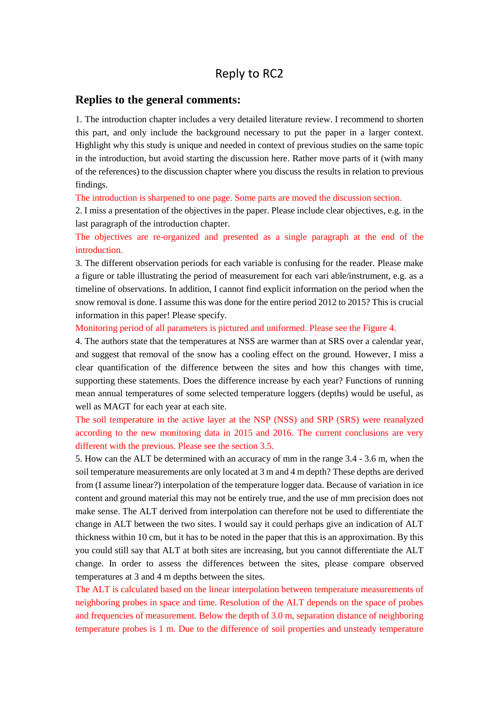## Reply to RC2

## **Replies to the general comments:**

1. The introduction chapter includes a very detailed literature review. I recommend to shorten this part, and only include the background necessary to put the paper in a larger context. Highlight why this study is unique and needed in context of previous studies on the same topic in the introduction, but avoid starting the discussion here. Rather move parts of it (with many of the references) to the discussion chapter where you discuss the results in relation to previous findings.

The introduction is sharpened to one page. Some parts are moved the discussion section.

2. I miss a presentation of the objectives in the paper. Please include clear objectives, e.g. in the last paragraph of the introduction chapter.

The objectives are re-organized and presented as a single paragraph at the end of the introduction.

3. The different observation periods for each variable is confusing for the reader. Please make a figure or table illustrating the period of measurement for each vari able/instrument, e.g. as a timeline of observations. In addition, I cannot find explicit information on the period when the snow removal is done. I assume this was done for the entire period 2012 to 2015? This is crucial information in this paper! Please specify.

Monitoring period of all parameters is pictured and uniformed. Please see the Figure 4.

4. The authors state that the temperatures at NSS are warmer than at SRS over a calendar year, and suggest that removal of the snow has a cooling effect on the ground. However, I miss a clear quantification of the difference between the sites and how this changes with time, supporting these statements. Does the difference increase by each year? Functions of running mean annual temperatures of some selected temperature loggers (depths) would be useful, as well as MAGT for each year at each site.

The soil temperature in the active layer at the NSP (NSS) and SRP (SRS) were reanalyzed according to the new monitoring data in 2015 and 2016. The current conclusions are very different with the previous. Please see the section 3.5.

5. How can the ALT be determined with an accuracy of mm in the range 3.4 - 3.6 m, when the soil temperature measurements are only located at 3 m and 4 m depth? These depths are derived from (I assume linear?) interpolation of the temperature logger data. Because of variation in ice content and ground material this may not be entirely true, and the use of mm precision does not make sense. The ALT derived from interpolation can therefore not be used to differentiate the change in ALT between the two sites. I would say it could perhaps give an indication of ALT thickness within 10 cm, but it has to be noted in the paper that this is an approximation. By this you could still say that ALT at both sites are increasing, but you cannot differentiate the ALT change. In order to assess the differences between the sites, please compare observed temperatures at 3 and 4 m depths between the sites.

The ALT is calculated based on the linear interpolation between temperature measurements of neighboring probes in space and time. Resolution of the ALT depends on the space of probes and frequencies of measurement. Below the depth of 3.0 m, separation distance of neighboring temperature probes is 1 m. Due to the difference of soil properties and unsteady temperature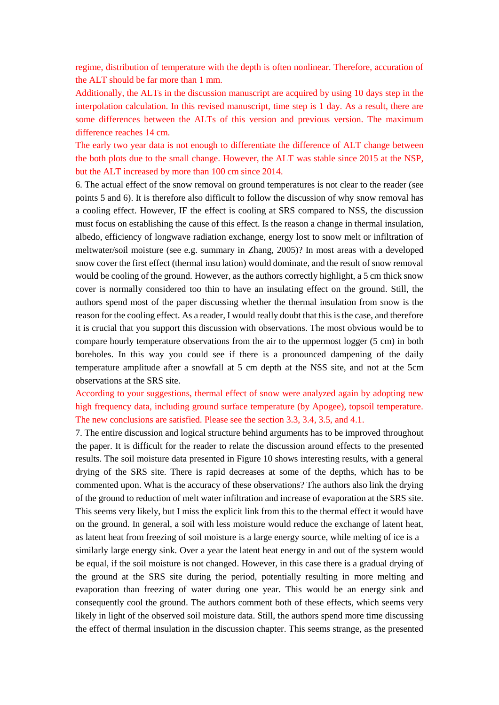regime, distribution of temperature with the depth is often nonlinear. Therefore, accuration of the ALT should be far more than 1 mm.

Additionally, the ALTs in the discussion manuscript are acquired by using 10 days step in the interpolation calculation. In this revised manuscript, time step is 1 day. As a result, there are some differences between the ALTs of this version and previous version. The maximum difference reaches 14 cm.

The early two year data is not enough to differentiate the difference of ALT change between the both plots due to the small change. However, the ALT was stable since 2015 at the NSP, but the ALT increased by more than 100 cm since 2014.

6. The actual effect of the snow removal on ground temperatures is not clear to the reader (see points 5 and 6). It is therefore also difficult to follow the discussion of why snow removal has a cooling effect. However, IF the effect is cooling at SRS compared to NSS, the discussion must focus on establishing the cause of this effect. Is the reason a change in thermal insulation, albedo, efficiency of longwave radiation exchange, energy lost to snow melt or infiltration of meltwater/soil moisture (see e.g. summary in Zhang, 2005)? In most areas with a developed snow cover the first effect (thermal insu lation) would dominate, and the result of snow removal would be cooling of the ground. However, as the authors correctly highlight, a 5 cm thick snow cover is normally considered too thin to have an insulating effect on the ground. Still, the authors spend most of the paper discussing whether the thermal insulation from snow is the reason for the cooling effect. As a reader, I would really doubt that this is the case, and therefore it is crucial that you support this discussion with observations. The most obvious would be to compare hourly temperature observations from the air to the uppermost logger (5 cm) in both boreholes. In this way you could see if there is a pronounced dampening of the daily temperature amplitude after a snowfall at 5 cm depth at the NSS site, and not at the 5cm observations at the SRS site.

According to your suggestions, thermal effect of snow were analyzed again by adopting new high frequency data, including ground surface temperature (by Apogee), topsoil temperature. The new conclusions are satisfied. Please see the section 3.3, 3.4, 3.5, and 4.1.

7. The entire discussion and logical structure behind arguments has to be improved throughout the paper. It is difficult for the reader to relate the discussion around effects to the presented results. The soil moisture data presented in Figure 10 shows interesting results, with a general drying of the SRS site. There is rapid decreases at some of the depths, which has to be commented upon. What is the accuracy of these observations? The authors also link the drying of the ground to reduction of melt water infiltration and increase of evaporation at the SRS site. This seems very likely, but I miss the explicit link from this to the thermal effect it would have on the ground. In general, a soil with less moisture would reduce the exchange of latent heat, as latent heat from freezing of soil moisture is a large energy source, while melting of ice is a similarly large energy sink. Over a year the latent heat energy in and out of the system would be equal, if the soil moisture is not changed. However, in this case there is a gradual drying of the ground at the SRS site during the period, potentially resulting in more melting and evaporation than freezing of water during one year. This would be an energy sink and consequently cool the ground. The authors comment both of these effects, which seems very likely in light of the observed soil moisture data. Still, the authors spend more time discussing the effect of thermal insulation in the discussion chapter. This seems strange, as the presented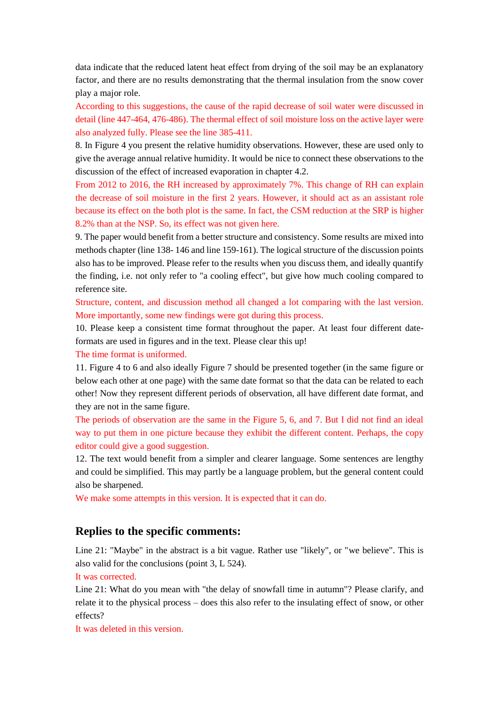data indicate that the reduced latent heat effect from drying of the soil may be an explanatory factor, and there are no results demonstrating that the thermal insulation from the snow cover play a major role.

According to this suggestions, the cause of the rapid decrease of soil water were discussed in detail (line 447-464, 476-486). The thermal effect of soil moisture loss on the active layer were also analyzed fully. Please see the line 385-411.

8. In Figure 4 you present the relative humidity observations. However, these are used only to give the average annual relative humidity. It would be nice to connect these observations to the discussion of the effect of increased evaporation in chapter 4.2.

From 2012 to 2016, the RH increased by approximately 7%. This change of RH can explain the decrease of soil moisture in the first 2 years. However, it should act as an assistant role because its effect on the both plot is the same. In fact, the CSM reduction at the SRP is higher 8.2% than at the NSP. So, its effect was not given here.

9. The paper would benefit from a better structure and consistency. Some results are mixed into methods chapter (line 138- 146 and line 159-161). The logical structure of the discussion points also has to be improved. Please refer to the results when you discuss them, and ideally quantify the finding, i.e. not only refer to "a cooling effect", but give how much cooling compared to reference site.

Structure, content, and discussion method all changed a lot comparing with the last version. More importantly, some new findings were got during this process.

10. Please keep a consistent time format throughout the paper. At least four different dateformats are used in figures and in the text. Please clear this up!

The time format is uniformed.

11. Figure 4 to 6 and also ideally Figure 7 should be presented together (in the same figure or below each other at one page) with the same date format so that the data can be related to each other! Now they represent different periods of observation, all have different date format, and they are not in the same figure.

The periods of observation are the same in the Figure 5, 6, and 7. But I did not find an ideal way to put them in one picture because they exhibit the different content. Perhaps, the copy editor could give a good suggestion.

12. The text would benefit from a simpler and clearer language. Some sentences are lengthy and could be simplified. This may partly be a language problem, but the general content could also be sharpened.

We make some attempts in this version. It is expected that it can do.

## **Replies to the specific comments:**

Line 21: "Maybe" in the abstract is a bit vague. Rather use "likely", or "we believe". This is also valid for the conclusions (point 3, L 524).

It was corrected.

Line 21: What do you mean with "the delay of snowfall time in autumn"? Please clarify, and relate it to the physical process – does this also refer to the insulating effect of snow, or other effects?

It was deleted in this version.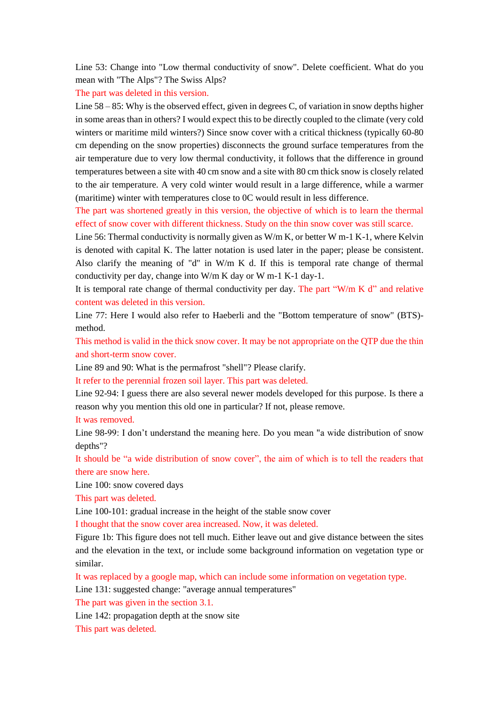Line 53: Change into "Low thermal conductivity of snow". Delete coefficient. What do you mean with "The Alps"? The Swiss Alps?

The part was deleted in this version.

Line 58 – 85: Why is the observed effect, given in degrees C, of variation in snow depths higher in some areas than in others? I would expect this to be directly coupled to the climate (very cold winters or maritime mild winters?) Since snow cover with a critical thickness (typically 60-80 cm depending on the snow properties) disconnects the ground surface temperatures from the air temperature due to very low thermal conductivity, it follows that the difference in ground temperatures between a site with 40 cm snow and a site with 80 cm thick snow is closely related to the air temperature. A very cold winter would result in a large difference, while a warmer (maritime) winter with temperatures close to 0C would result in less difference.

The part was shortened greatly in this version, the objective of which is to learn the thermal effect of snow cover with different thickness. Study on the thin snow cover was still scarce.

Line 56: Thermal conductivity is normally given as W/m K, or better W m-1 K-1, where Kelvin is denoted with capital K. The latter notation is used later in the paper; please be consistent. Also clarify the meaning of "d" in W/m K d. If this is temporal rate change of thermal conductivity per day, change into W/m K day or W m-1 K-1 day-1.

It is temporal rate change of thermal conductivity per day. The part "W/m K  $d$ " and relative content was deleted in this version.

Line 77: Here I would also refer to Haeberli and the "Bottom temperature of snow" (BTS) method.

This method is valid in the thick snow cover. It may be not appropriate on the QTP due the thin and short-term snow cover.

Line 89 and 90: What is the permafrost "shell"? Please clarify.

It refer to the perennial frozen soil layer. This part was deleted.

Line 92-94: I guess there are also several newer models developed for this purpose. Is there a reason why you mention this old one in particular? If not, please remove.

It was removed.

Line 98-99: I don't understand the meaning here. Do you mean "a wide distribution of snow depths"?

It should be "a wide distribution of snow cover", the aim of which is to tell the readers that there are snow here.

Line 100: snow covered days

This part was deleted.

Line 100-101: gradual increase in the height of the stable snow cover

I thought that the snow cover area increased. Now, it was deleted.

Figure 1b: This figure does not tell much. Either leave out and give distance between the sites and the elevation in the text, or include some background information on vegetation type or similar.

It was replaced by a google map, which can include some information on vegetation type.

Line 131: suggested change: "average annual temperatures"

The part was given in the section 3.1.

Line 142: propagation depth at the snow site

This part was deleted.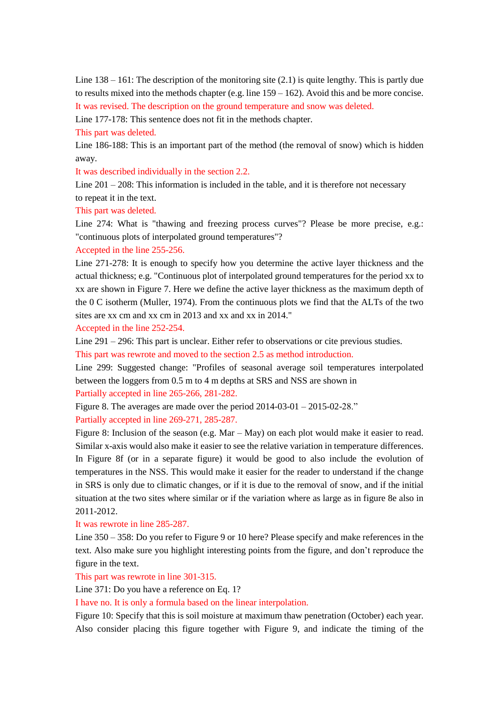Line  $138 - 161$ : The description of the monitoring site (2.1) is quite lengthy. This is partly due to results mixed into the methods chapter (e.g. line 159 – 162). Avoid this and be more concise. It was revised. The description on the ground temperature and snow was deleted.

Line 177-178: This sentence does not fit in the methods chapter.

This part was deleted.

Line 186-188: This is an important part of the method (the removal of snow) which is hidden away.

It was described individually in the section 2.2.

Line  $201 - 208$ : This information is included in the table, and it is therefore not necessary to repeat it in the text.

This part was deleted.

Line 274: What is "thawing and freezing process curves"? Please be more precise, e.g.: "continuous plots of interpolated ground temperatures"?

## Accepted in the line 255-256.

Line 271-278: It is enough to specify how you determine the active layer thickness and the actual thickness; e.g. "Continuous plot of interpolated ground temperatures for the period xx to xx are shown in Figure 7. Here we define the active layer thickness as the maximum depth of the 0 C isotherm (Muller, 1974). From the continuous plots we find that the ALTs of the two sites are xx cm and xx cm in 2013 and xx and xx in 2014."

Accepted in the line 252-254.

Line 291 – 296: This part is unclear. Either refer to observations or cite previous studies.

This part was rewrote and moved to the section 2.5 as method introduction.

Line 299: Suggested change: "Profiles of seasonal average soil temperatures interpolated between the loggers from 0.5 m to 4 m depths at SRS and NSS are shown in

Partially accepted in line 265-266, 281-282.

Figure 8. The averages are made over the period 2014-03-01 – 2015-02-28." Partially accepted in line 269-271, 285-287.

Figure 8: Inclusion of the season (e.g. Mar – May) on each plot would make it easier to read. Similar x-axis would also make it easier to see the relative variation in temperature differences. In Figure 8f (or in a separate figure) it would be good to also include the evolution of temperatures in the NSS. This would make it easier for the reader to understand if the change in SRS is only due to climatic changes, or if it is due to the removal of snow, and if the initial situation at the two sites where similar or if the variation where as large as in figure 8e also in 2011-2012.

It was rewrote in line 285-287.

Line 350 – 358: Do you refer to Figure 9 or 10 here? Please specify and make references in the text. Also make sure you highlight interesting points from the figure, and don't reproduce the figure in the text.

This part was rewrote in line 301-315.

Line 371: Do you have a reference on Eq. 1?

I have no. It is only a formula based on the linear interpolation.

Figure 10: Specify that this is soil moisture at maximum thaw penetration (October) each year. Also consider placing this figure together with Figure 9, and indicate the timing of the